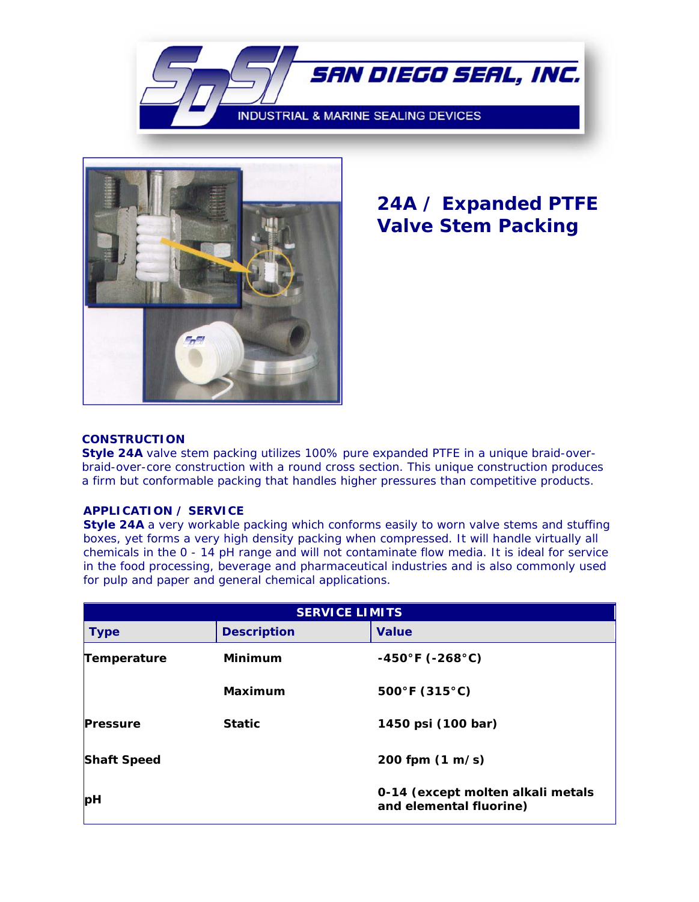



## **24A / Expanded PTFE Valve Stem Packing**

## **CONSTRUCTION**

**Style 24A** valve stem packing utilizes 100% pure expanded PTFE in a unique braid-overbraid-over-core construction with a round cross section. This unique construction produces a firm but conformable packing that handles higher pressures than competitive products.

## **APPLICATION / SERVICE**

**Style 24A** a very workable packing which conforms easily to worn valve stems and stuffing boxes, yet forms a very high density packing when compressed. It will handle virtually all chemicals in the 0 - 14 pH range and will not contaminate flow media. It is ideal for service in the food processing, beverage and pharmaceutical industries and is also commonly used for pulp and paper and general chemical applications.

| <b>SERVICE LIMITS</b> |                    |                                                              |  |
|-----------------------|--------------------|--------------------------------------------------------------|--|
| <b>Type</b>           | <b>Description</b> | <b>Value</b>                                                 |  |
| Temperature           | <b>Minimum</b>     | $-450^{\circ}$ F (-268 $^{\circ}$ C)                         |  |
|                       | Maximum            | $500^{\circ}$ F (315 $^{\circ}$ C)                           |  |
| <b>Pressure</b>       | <b>Static</b>      | 1450 psi (100 bar)                                           |  |
| <b>Shaft Speed</b>    |                    | 200 fpm $(1 \text{ m/s})$                                    |  |
| pH                    |                    | 0-14 (except molten alkali metals<br>and elemental fluorine) |  |